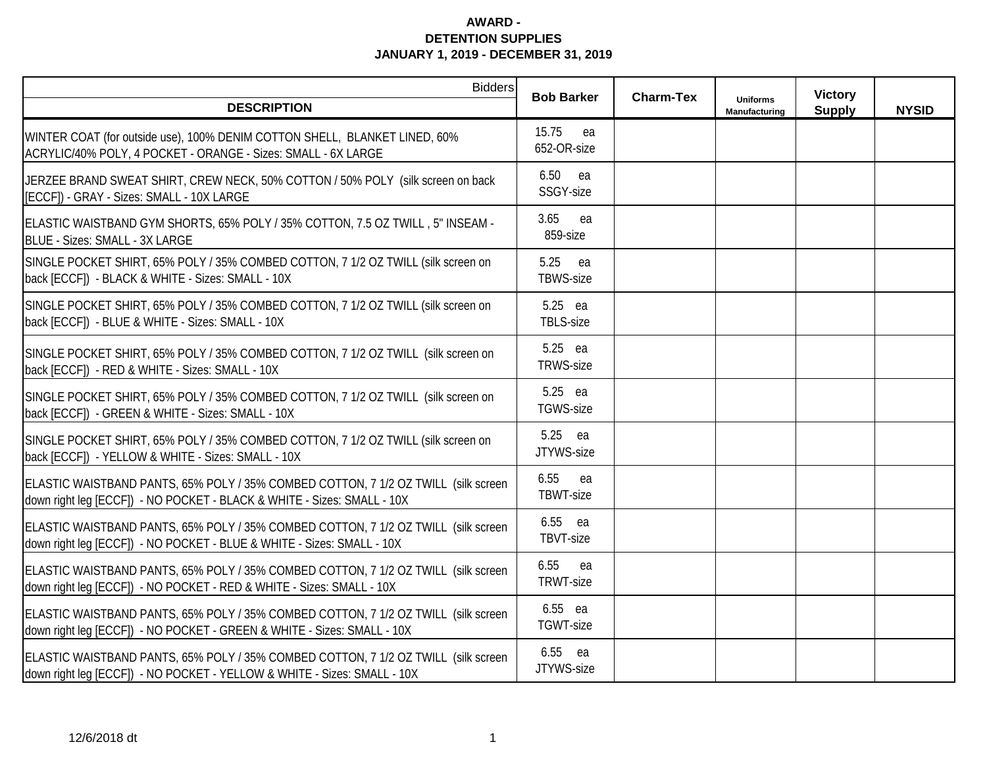| <b>Bidders</b>                                                                                                                                                 | <b>Bob Barker</b>          | <b>Charm-Tex</b> |                                  | <b>Victory</b> |              |
|----------------------------------------------------------------------------------------------------------------------------------------------------------------|----------------------------|------------------|----------------------------------|----------------|--------------|
| <b>DESCRIPTION</b>                                                                                                                                             |                            |                  | <b>Uniforms</b><br>Manufacturing | <b>Supply</b>  | <b>NYSID</b> |
| WINTER COAT (for outside use), 100% DENIM COTTON SHELL, BLANKET LINED, 60%<br>ACRYLIC/40% POLY, 4 POCKET - ORANGE - Sizes: SMALL - 6X LARGE                    | 15.75<br>ea<br>652-OR-size |                  |                                  |                |              |
| JERZEE BRAND SWEAT SHIRT, CREW NECK, 50% COTTON / 50% POLY (silk screen on back<br>[ECCF]) - GRAY - Sizes: SMALL - 10X LARGE                                   | 6.50 ea<br>SSGY-size       |                  |                                  |                |              |
| ELASTIC WAISTBAND GYM SHORTS, 65% POLY / 35% COTTON, 7.5 OZ TWILL, 5" INSEAM -<br>BLUE - Sizes: SMALL - 3X LARGE                                               | 3.65<br>ea<br>859-size     |                  |                                  |                |              |
| SINGLE POCKET SHIRT, 65% POLY / 35% COMBED COTTON, 7 1/2 OZ TWILL (silk screen on<br>back [ECCF]) - BLACK & WHITE - Sizes: SMALL - 10X                         | 5.25<br>ea<br>TBWS-size    |                  |                                  |                |              |
| SINGLE POCKET SHIRT, 65% POLY / 35% COMBED COTTON, 7 1/2 OZ TWILL (silk screen on<br>back [ECCF]) - BLUE & WHITE - Sizes: SMALL - 10X                          | 5.25 ea<br>TBLS-size       |                  |                                  |                |              |
| SINGLE POCKET SHIRT, 65% POLY / 35% COMBED COTTON, 7 1/2 OZ TWILL (silk screen on<br>back [ECCF]) - RED & WHITE - Sizes: SMALL - 10X                           | 5.25 ea<br>TRWS-size       |                  |                                  |                |              |
| SINGLE POCKET SHIRT, 65% POLY / 35% COMBED COTTON, 7 1/2 OZ TWILL (silk screen on<br>back [ECCF]) - GREEN & WHITE - Sizes: SMALL - 10X                         | 5.25 ea<br>TGWS-size       |                  |                                  |                |              |
| SINGLE POCKET SHIRT, 65% POLY / 35% COMBED COTTON, 7 1/2 OZ TWILL (silk screen on<br>back [ECCF]) - YELLOW & WHITE - Sizes: SMALL - 10X                        | 5.25 ea<br>JTYWS-size      |                  |                                  |                |              |
| ELASTIC WAISTBAND PANTS, 65% POLY / 35% COMBED COTTON, 7 1/2 OZ TWILL (silk screen<br>down right leg [ECCF]) - NO POCKET - BLACK & WHITE - Sizes: SMALL - 10X  | 6.55<br>ea<br>TBWT-size    |                  |                                  |                |              |
| ELASTIC WAISTBAND PANTS, 65% POLY / 35% COMBED COTTON, 7 1/2 OZ TWILL (silk screen<br>down right leg [ECCF]) - NO POCKET - BLUE & WHITE - Sizes: SMALL - 10X   | 6.55 ea<br>TBVT-size       |                  |                                  |                |              |
| ELASTIC WAISTBAND PANTS, 65% POLY / 35% COMBED COTTON, 7 1/2 OZ TWILL (silk screen<br>down right leg [ECCF]) - NO POCKET - RED & WHITE - Sizes: SMALL - 10X    | 6.55<br>ea<br>TRWT-size    |                  |                                  |                |              |
| ELASTIC WAISTBAND PANTS, 65% POLY / 35% COMBED COTTON, 7 1/2 OZ TWILL (silk screen<br>down right leg [ECCF]) - NO POCKET - GREEN & WHITE - Sizes: SMALL - 10X  | 6.55 ea<br>TGWT-size       |                  |                                  |                |              |
| ELASTIC WAISTBAND PANTS, 65% POLY / 35% COMBED COTTON, 7 1/2 OZ TWILL (silk screen<br>down right leg [ECCF]) - NO POCKET - YELLOW & WHITE - Sizes: SMALL - 10X | 6.55 ea<br>JTYWS-size      |                  |                                  |                |              |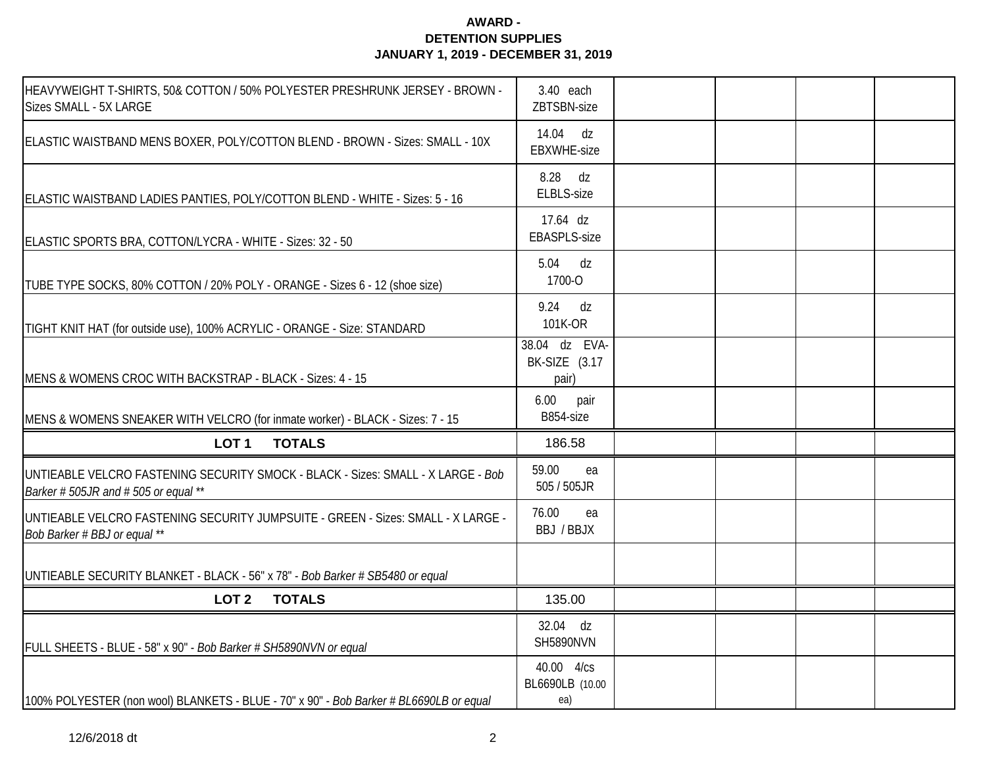| HEAVYWEIGHT T-SHIRTS, 50& COTTON / 50% POLYESTER PRESHRUNK JERSEY - BROWN -<br>Sizes SMALL - 5X LARGE                    | 3.40 each<br>ZBTSBN-size                |  |  |
|--------------------------------------------------------------------------------------------------------------------------|-----------------------------------------|--|--|
| ELASTIC WAISTBAND MENS BOXER, POLY/COTTON BLEND - BROWN - Sizes: SMALL - 10X                                             | 14.04 dz<br>EBXWHE-size                 |  |  |
| ELASTIC WAISTBAND LADIES PANTIES, POLY/COTTON BLEND - WHITE - Sizes: 5 - 16                                              | 8.28 dz<br>ELBLS-size                   |  |  |
| ELASTIC SPORTS BRA, COTTON/LYCRA - WHITE - Sizes: 32 - 50                                                                | 17.64 dz<br>EBASPLS-size                |  |  |
| TUBE TYPE SOCKS, 80% COTTON / 20% POLY - ORANGE - Sizes 6 - 12 (shoe size)                                               | 5.04 dz<br>1700-O                       |  |  |
| TIGHT KNIT HAT (for outside use), 100% ACRYLIC - ORANGE - Size: STANDARD                                                 | $9.24$ dz<br>101K-OR                    |  |  |
| MENS & WOMENS CROC WITH BACKSTRAP - BLACK - Sizes: 4 - 15                                                                | 38.04 dz EVA-<br>BK-SIZE (3.17<br>pair) |  |  |
| MENS & WOMENS SNEAKER WITH VELCRO (for inmate worker) - BLACK - Sizes: 7 - 15                                            | 6.00<br>pair<br>B854-size               |  |  |
| LOT <sub>1</sub><br><b>TOTALS</b>                                                                                        | 186.58                                  |  |  |
| UNTIEABLE VELCRO FASTENING SECURITY SMOCK - BLACK - Sizes: SMALL - X LARGE - Bob<br>Barker # 505JR and # 505 or equal ** | 59.00<br>ea<br>505 / 505JR              |  |  |
| UNTIEABLE VELCRO FASTENING SECURITY JUMPSUITE - GREEN - Sizes: SMALL - X LARGE -<br>Bob Barker # BBJ or equal **         | 76.00<br>ea<br>BBJ / BBJX               |  |  |
| UNTIEABLE SECURITY BLANKET - BLACK - 56" x 78" - Bob Barker # SB5480 or equal                                            |                                         |  |  |
| LOT <sub>2</sub><br><b>TOTALS</b>                                                                                        | 135.00                                  |  |  |
| FULL SHEETS - BLUE - 58" x 90" - Bob Barker # SH5890NVN or equal                                                         | 32.04 dz<br>SH5890NVN                   |  |  |
| 100% POLYESTER (non wool) BLANKETS - BLUE - 70" x 90" - Bob Barker # BL6690LB or equal                                   | 40.00 4/cs<br>BL6690LB (10.00<br>ea)    |  |  |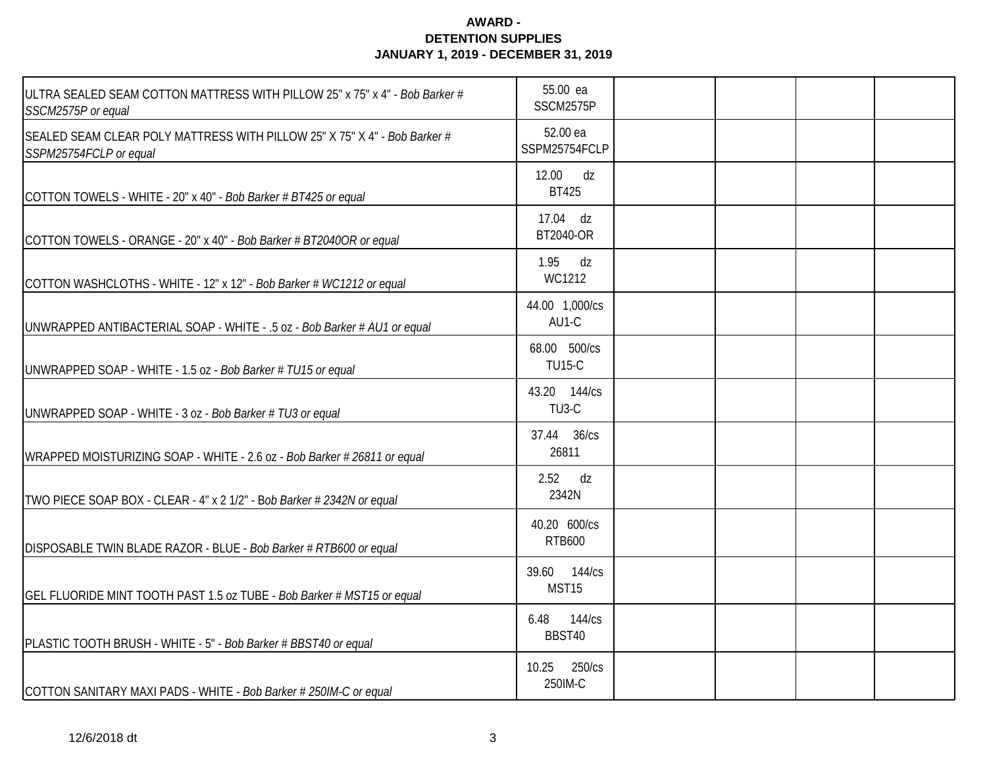| ULTRA SEALED SEAM COTTON MATTRESS WITH PILLOW 25" x 75" x 4" - Bob Barker #<br>SSCM2575P or equal   | 55.00 ea<br>SSCM2575P              |  |  |
|-----------------------------------------------------------------------------------------------------|------------------------------------|--|--|
| SEALED SEAM CLEAR POLY MATTRESS WITH PILLOW 25" X 75" X 4" - Bob Barker #<br>SSPM25754FCLP or equal | 52.00 ea<br>SSPM25754FCLP          |  |  |
| COTTON TOWELS - WHITE - 20" x 40" - Bob Barker # BT425 or equal                                     | 12.00 dz<br><b>BT425</b>           |  |  |
| COTTON TOWELS - ORANGE - 20" x 40" - Bob Barker # BT2040OR or equal                                 | 17.04 dz<br>BT2040-OR              |  |  |
| COTTON WASHCLOTHS - WHITE - 12" x 12" - Bob Barker # WC1212 or equal                                | $1.95$ dz<br>WC1212                |  |  |
| UNWRAPPED ANTIBACTERIAL SOAP - WHITE - .5 oz - Bob Barker # AU1 or equal                            | 44.00 1,000/cs<br>AU1-C            |  |  |
| UNWRAPPED SOAP - WHITE - 1.5 oz - Bob Barker # TU15 or equal                                        | 68.00 500/cs<br><b>TU15-C</b>      |  |  |
| UNWRAPPED SOAP - WHITE - 3 oz - Bob Barker # TU3 or equal                                           | 43.20 144/cs<br>TU <sub>3</sub> -C |  |  |
| WRAPPED MOISTURIZING SOAP - WHITE - 2.6 oz - Bob Barker # 26811 or equal                            | 37.44 36/cs<br>26811               |  |  |
| TWO PIECE SOAP BOX - CLEAR - 4" x 2 1/2" - Bob Barker # 2342N or equal                              | 2.52<br>dz<br>2342N                |  |  |
| DISPOSABLE TWIN BLADE RAZOR - BLUE - Bob Barker # RTB600 or equal                                   | 40.20 600/cs<br><b>RTB600</b>      |  |  |
| GEL FLUORIDE MINT TOOTH PAST 1.5 oz TUBE - Bob Barker # MST15 or equal                              | 39.60 144/cs<br>MST15              |  |  |
| PLASTIC TOOTH BRUSH - WHITE - 5" - Bob Barker # BBST40 or equal                                     | 6.48<br>144/cs<br>BBST40           |  |  |
| COTTON SANITARY MAXI PADS - WHITE - Bob Barker # 250IM-C or equal                                   | 250/cs<br>10.25<br>250IM-C         |  |  |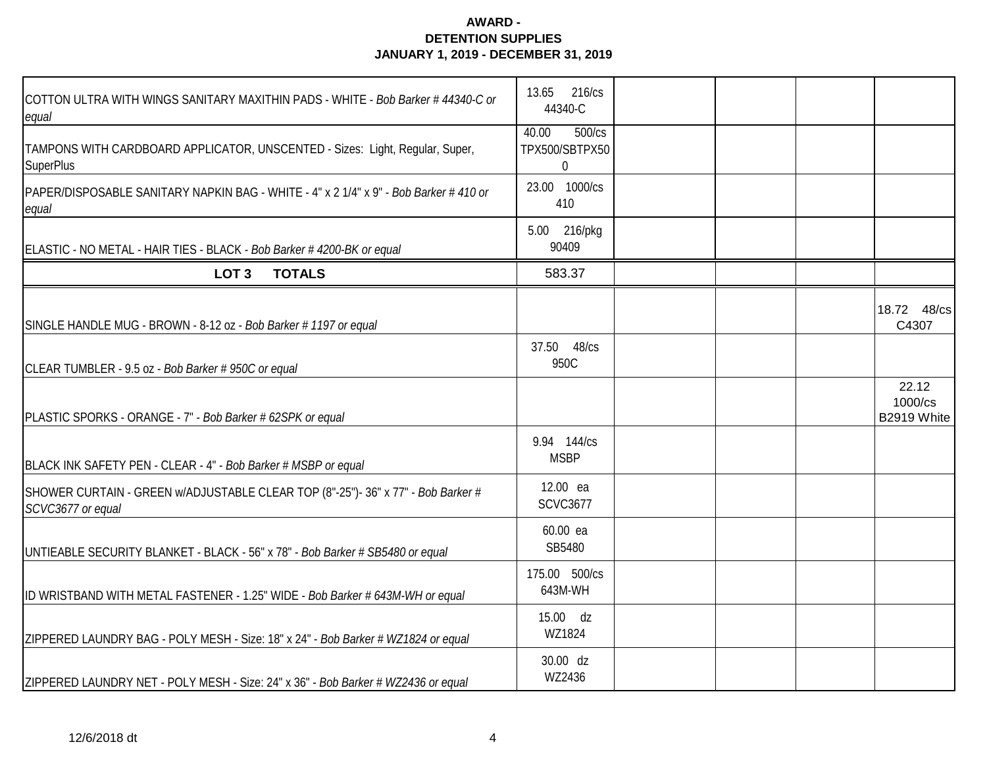| COTTON ULTRA WITH WINGS SANITARY MAXITHIN PADS - WHITE - Bob Barker # 44340-C or<br>equal             | 13.65 216/cs<br>44340-C                             |  |                                 |
|-------------------------------------------------------------------------------------------------------|-----------------------------------------------------|--|---------------------------------|
| TAMPONS WITH CARDBOARD APPLICATOR, UNSCENTED - Sizes: Light, Regular, Super,<br><b>SuperPlus</b>      | 40.00<br>500/cs<br>TPX500/SBTPX50<br>$\overline{0}$ |  |                                 |
| PAPER/DISPOSABLE SANITARY NAPKIN BAG - WHITE - 4" x 2 1/4" x 9" - Bob Barker # 410 or<br>equal        | 23.00 1000/cs<br>410                                |  |                                 |
| ELASTIC - NO METAL - HAIR TIES - BLACK - Bob Barker #4200-BK or equal                                 | 5.00 216/pkg<br>90409                               |  |                                 |
| LOT <sub>3</sub><br><b>TOTALS</b>                                                                     | 583.37                                              |  |                                 |
| SINGLE HANDLE MUG - BROWN - 8-12 oz - Bob Barker # 1197 or equal                                      |                                                     |  | 18.72 48/cs<br>C4307            |
| CLEAR TUMBLER - 9.5 oz - Bob Barker # 950C or equal                                                   | 37.50 48/cs<br>950C                                 |  |                                 |
| PLASTIC SPORKS - ORANGE - 7" - Bob Barker # 62SPK or equal                                            |                                                     |  | 22.12<br>1000/cs<br>B2919 White |
| BLACK INK SAFETY PEN - CLEAR - 4" - Bob Barker # MSBP or equal                                        | 9.94 144/cs<br><b>MSBP</b>                          |  |                                 |
| SHOWER CURTAIN - GREEN w/ADJUSTABLE CLEAR TOP (8"-25")- 36" x 77" - Bob Barker #<br>SCVC3677 or equal | 12.00 ea<br><b>SCVC3677</b>                         |  |                                 |
| UNTIEABLE SECURITY BLANKET - BLACK - 56" x 78" - Bob Barker # SB5480 or equal                         | 60.00 ea<br>SB5480                                  |  |                                 |
| ID WRISTBAND WITH METAL FASTENER - 1.25" WIDE - Bob Barker # 643M-WH or equal                         | 175.00 500/cs<br>643M-WH                            |  |                                 |
| ZIPPERED LAUNDRY BAG - POLY MESH - Size: 18" x 24" - Bob Barker # WZ1824 or equal                     | 15.00 dz<br>WZ1824                                  |  |                                 |
| ZIPPERED LAUNDRY NET - POLY MESH - Size: 24" x 36" - Bob Barker # WZ2436 or equal                     | 30.00 dz<br>WZ2436                                  |  |                                 |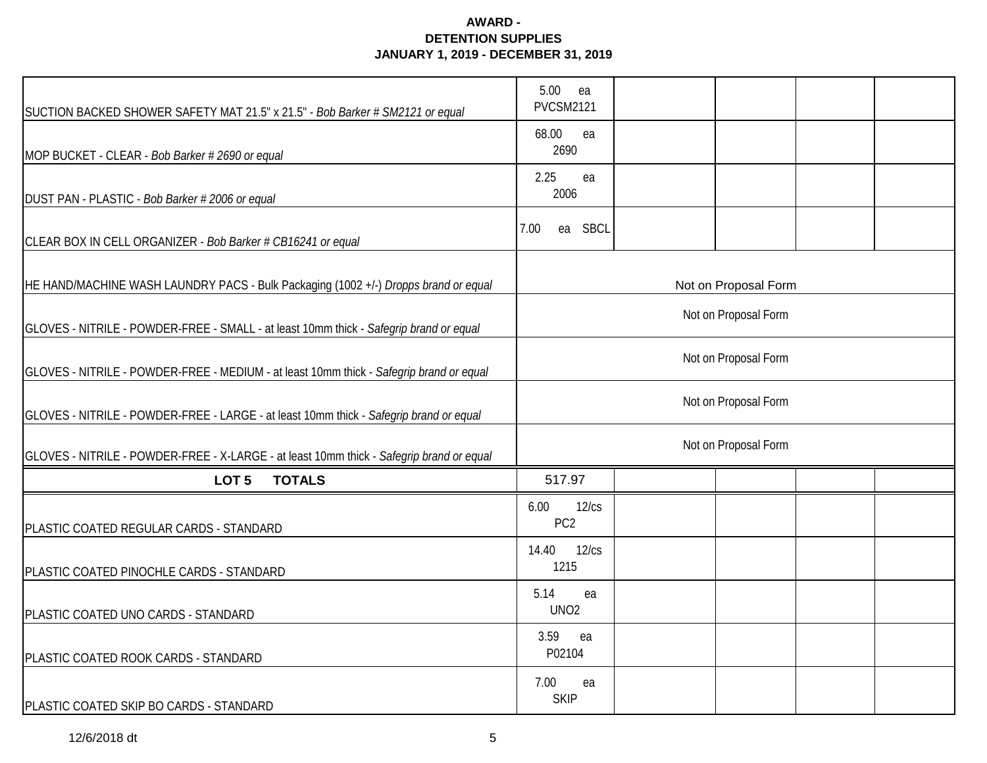| SUCTION BACKED SHOWER SAFETY MAT 21.5" x 21.5" - Bob Barker # SM2121 or equal            | 5.00<br>ea<br><b>PVCSM2121</b>   |  |  |  |  |  |  |
|------------------------------------------------------------------------------------------|----------------------------------|--|--|--|--|--|--|
| MOP BUCKET - CLEAR - Bob Barker # 2690 or equal                                          | 68.00<br>ea<br>2690              |  |  |  |  |  |  |
| DUST PAN - PLASTIC - Bob Barker # 2006 or equal                                          | 2.25<br>ea<br>2006               |  |  |  |  |  |  |
| CLEAR BOX IN CELL ORGANIZER - Bob Barker # CB16241 or equal                              | <b>SBCL</b><br>7.00<br>ea        |  |  |  |  |  |  |
| HE HAND/MACHINE WASH LAUNDRY PACS - Bulk Packaging (1002 +/-) Dropps brand or equal      | Not on Proposal Form             |  |  |  |  |  |  |
| GLOVES - NITRILE - POWDER-FREE - SMALL - at least 10mm thick - Safegrip brand or equal   | Not on Proposal Form             |  |  |  |  |  |  |
| GLOVES - NITRILE - POWDER-FREE - MEDIUM - at least 10mm thick - Safegrip brand or equal  | Not on Proposal Form             |  |  |  |  |  |  |
| GLOVES - NITRILE - POWDER-FREE - LARGE - at least 10mm thick - Safegrip brand or equal   | Not on Proposal Form             |  |  |  |  |  |  |
| GLOVES - NITRILE - POWDER-FREE - X-LARGE - at least 10mm thick - Safegrip brand or equal | Not on Proposal Form             |  |  |  |  |  |  |
| <b>TOTALS</b><br>LOT <sub>5</sub>                                                        | 517.97                           |  |  |  |  |  |  |
| PLASTIC COATED REGULAR CARDS - STANDARD                                                  | 6.00<br>12/cs<br>PC <sub>2</sub> |  |  |  |  |  |  |
| PLASTIC COATED PINOCHLE CARDS - STANDARD                                                 | 14.40<br>12/cs<br>1215           |  |  |  |  |  |  |
| PLASTIC COATED UNO CARDS - STANDARD                                                      | 5.14<br>ea<br>UNO <sub>2</sub>   |  |  |  |  |  |  |
| PLASTIC COATED ROOK CARDS - STANDARD                                                     | 3.59<br>ea<br>P02104             |  |  |  |  |  |  |
| PLASTIC COATED SKIP BO CARDS - STANDARD                                                  | 7.00<br>ea<br><b>SKIP</b>        |  |  |  |  |  |  |